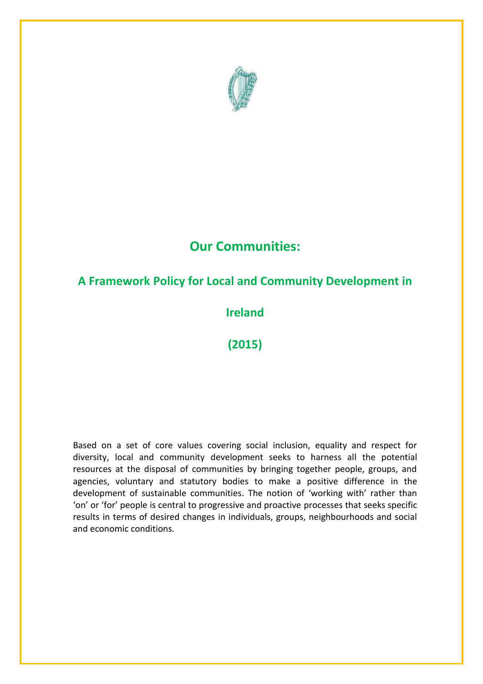

# **Our Communities:**

## **A Framework Policy for Local and Community Development in**

## **Ireland**

**(2015)**

Based on a set of core values covering social inclusion, equality and respect for diversity, local and community development seeks to harness all the potential resources at the disposal of communities by bringing together people, groups, and agencies, voluntary and statutory bodies to make a positive difference in the development of sustainable communities. The notion of 'working with' rather than 'on' or 'for' people is central to progressive and proactive processes that seeks specific results in terms of desired changes in individuals, groups, neighbourhoods and social and economic conditions.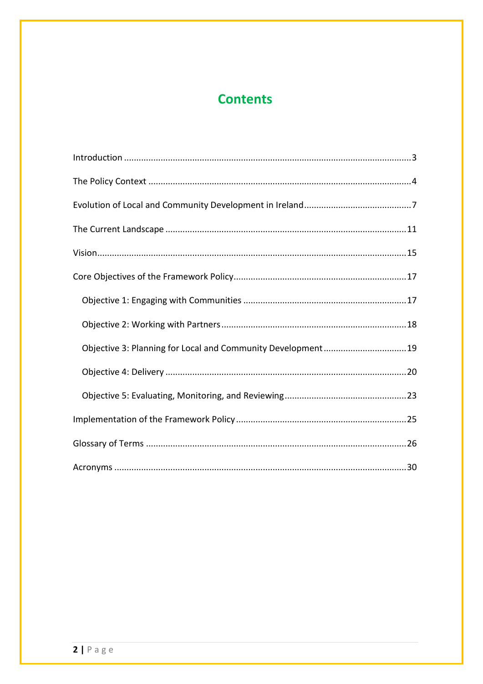# **Contents**

| Objective 3: Planning for Local and Community Development19 |  |  |
|-------------------------------------------------------------|--|--|
|                                                             |  |  |
|                                                             |  |  |
|                                                             |  |  |
|                                                             |  |  |
|                                                             |  |  |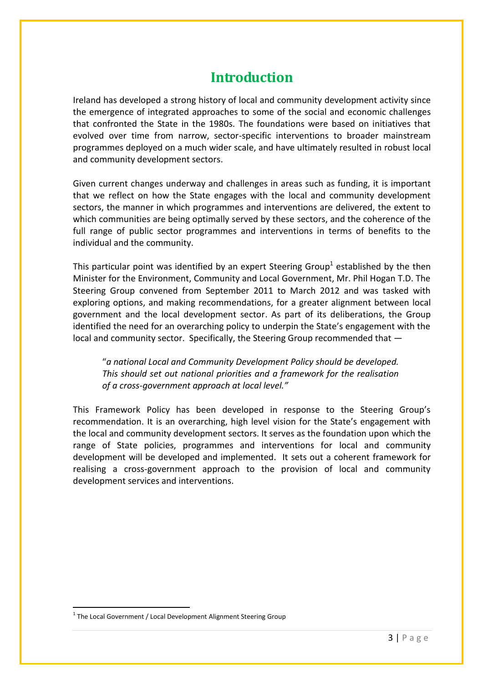# **Introduction**

<span id="page-2-0"></span>Ireland has developed a strong history of local and community development activity since the emergence of integrated approaches to some of the social and economic challenges that confronted the State in the 1980s. The foundations were based on initiatives that evolved over time from narrow, sector-specific interventions to broader mainstream programmes deployed on a much wider scale, and have ultimately resulted in robust local and community development sectors.

Given current changes underway and challenges in areas such as funding, it is important that we reflect on how the State engages with the local and community development sectors, the manner in which programmes and interventions are delivered, the extent to which communities are being optimally served by these sectors, and the coherence of the full range of public sector programmes and interventions in terms of benefits to the individual and the community.

This particular point was identified by an expert Steering Group<sup>1</sup> established by the then Minister for the Environment, Community and Local Government, Mr. Phil Hogan T.D. The Steering Group convened from September 2011 to March 2012 and was tasked with exploring options, and making recommendations, for a greater alignment between local government and the local development sector. As part of its deliberations, the Group identified the need for an overarching policy to underpin the State's engagement with the local and community sector. Specifically, the Steering Group recommended that —

"*a national Local and Community Development Policy should be developed. This should set out national priorities and a framework for the realisation of a cross-government approach at local level."*

This Framework Policy has been developed in response to the Steering Group's recommendation. It is an overarching, high level vision for the State's engagement with the local and community development sectors. It serves as the foundation upon which the range of State policies, programmes and interventions for local and community development will be developed and implemented. It sets out a coherent framework for realising a cross-government approach to the provision of local and community development services and interventions.

<u>.</u>

<sup>&</sup>lt;sup>1</sup> The Local Government / Local Development Alignment Steering Group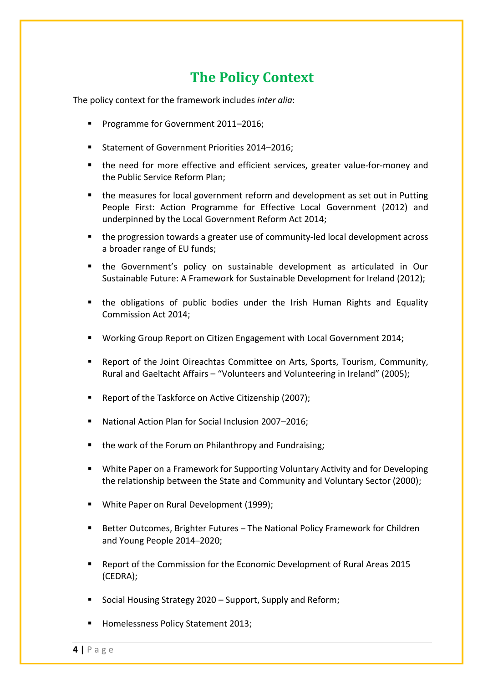# **The Policy Context**

<span id="page-3-0"></span>The policy context for the framework includes *inter alia*:

- **Programme for Government 2011-2016;**
- Statement of Government Priorities 2014-2016:
- the need for more effective and efficient services, greater value-for-money and the Public Service Reform Plan;
- the measures for local government reform and development as set out in Putting People First: Action Programme for Effective Local Government (2012) and underpinned by the Local Government Reform Act 2014;
- the progression towards a greater use of community-led local development across a broader range of EU funds;
- the Government's policy on sustainable development as articulated in Our Sustainable Future: A Framework for Sustainable Development for Ireland (2012);
- the obligations of public bodies under the Irish Human Rights and Equality Commission Act 2014;
- Working Group Report on Citizen Engagement with Local Government 2014;
- Report of the Joint Oireachtas Committee on Arts, Sports, Tourism, Community, Rural and Gaeltacht Affairs – "Volunteers and Volunteering in Ireland" (2005);
- Report of the Taskforce on Active Citizenship (2007);
- National Action Plan for Social Inclusion 2007–2016;
- the work of the Forum on Philanthropy and Fundraising;
- White Paper on a Framework for Supporting Voluntary Activity and for Developing the relationship between the State and Community and Voluntary Sector (2000);
- White Paper on Rural Development (1999);
- Better Outcomes, Brighter Futures The National Policy Framework for Children and Young People 2014–2020;
- Report of the Commission for the Economic Development of Rural Areas 2015 (CEDRA);
- Social Housing Strategy 2020 Support, Supply and Reform;
- Homelessness Policy Statement 2013;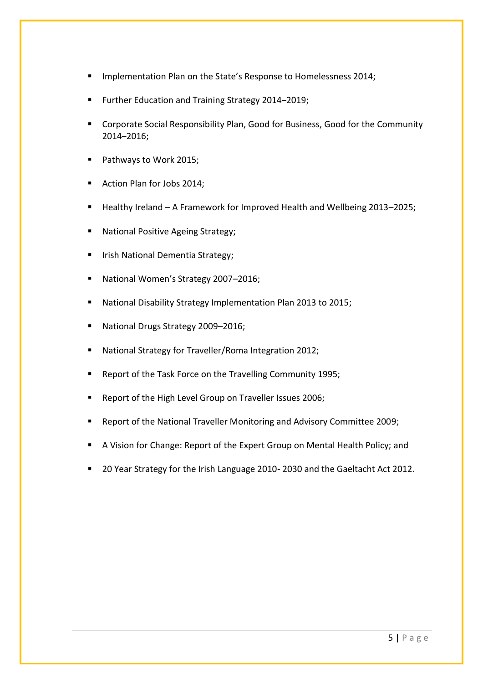- Implementation Plan on the State's Response to Homelessness 2014;
- **Further Education and Training Strategy 2014-2019;**
- Corporate Social Responsibility Plan, Good for Business, Good for the Community 2014–2016;
- Pathways to Work 2015;
- Action Plan for Jobs 2014;
- Healthy Ireland A Framework for Improved Health and Wellbeing 2013–2025;
- National Positive Ageing Strategy;
- Irish National Dementia Strategy;
- National Women's Strategy 2007–2016;
- National Disability Strategy Implementation Plan 2013 to 2015;
- National Drugs Strategy 2009–2016;
- National Strategy for Traveller/Roma Integration 2012;
- Report of the Task Force on the Travelling Community 1995;
- Report of the High Level Group on Traveller Issues 2006;
- Report of the National Traveller Monitoring and Advisory Committee 2009;
- A Vision for Change: Report of the Expert Group on Mental Health Policy; and
- 20 Year Strategy for the Irish Language 2010- 2030 and the Gaeltacht Act 2012.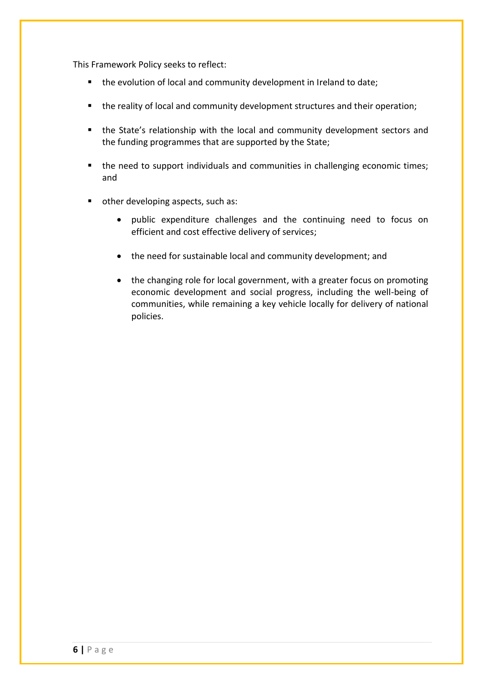This Framework Policy seeks to reflect:

- **the evolution of local and community development in Ireland to date;**
- the reality of local and community development structures and their operation;
- the State's relationship with the local and community development sectors and the funding programmes that are supported by the State;
- the need to support individuals and communities in challenging economic times; and
- other developing aspects, such as:
	- public expenditure challenges and the continuing need to focus on efficient and cost effective delivery of services;
	- the need for sustainable local and community development; and
	- the changing role for local government, with a greater focus on promoting economic development and social progress, including the well-being of communities, while remaining a key vehicle locally for delivery of national policies.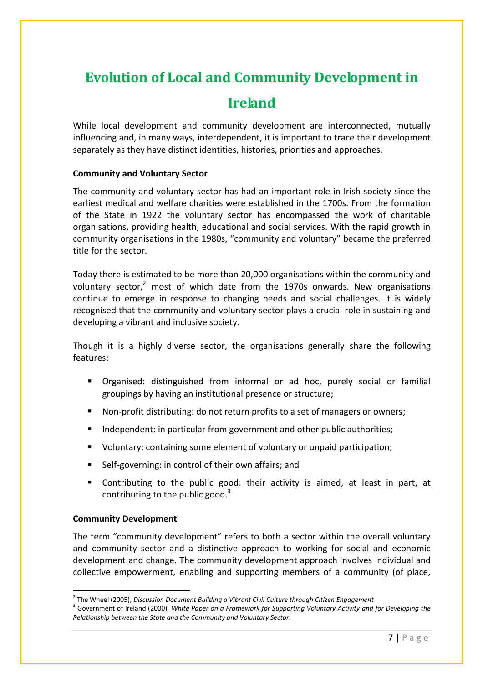# <span id="page-6-0"></span>**Evolution of Local and Community Development in**

# **Ireland**

While local development and community development are interconnected, mutually influencing and, in many ways, interdependent, it is important to trace their development separately as they have distinct identities, histories, priorities and approaches.

### **Community and Voluntary Sector**

The community and voluntary sector has had an important role in Irish society since the earliest medical and welfare charities were established in the 1700s. From the formation of the State in 1922 the voluntary sector has encompassed the work of charitable organisations, providing health, educational and social services. With the rapid growth in community organisations in the 1980s, "community and voluntary" became the preferred title for the sector.

Today there is estimated to be more than 20,000 organisations within the community and voluntary sector,<sup>2</sup> most of which date from the 1970s onwards. New organisations continue to emerge in response to changing needs and social challenges. It is widely recognised that the community and voluntary sector plays a crucial role in sustaining and developing a vibrant and inclusive society.

Though it is a highly diverse sector, the organisations generally share the following features:

- Organised: distinguished from informal or ad hoc, purely social or familial groupings by having an institutional presence or structure;
- Non-profit distributing: do not return profits to a set of managers or owners;
- Independent: in particular from government and other public authorities;
- Voluntary: containing some element of voluntary or unpaid participation;
- Self-governing: in control of their own affairs; and
- Contributing to the public good: their activity is aimed, at least in part, at contributing to the public good.<sup>3</sup>

### **Community Development**

The term "community development" refers to both a sector within the overall voluntary and community sector and a distinctive approach to working for social and economic development and change. The community development approach involves individual and collective empowerment, enabling and supporting members of a community (of place,

 2 The Wheel (2005), *Discussion Document Building a Vibrant Civil Culture through Citizen Engagement*

<sup>3</sup> Government of Ireland (2000), *White Paper on a Framework for Supporting Voluntary Activity and for Developing the Relationship between the State and the Community and Voluntary Sector*.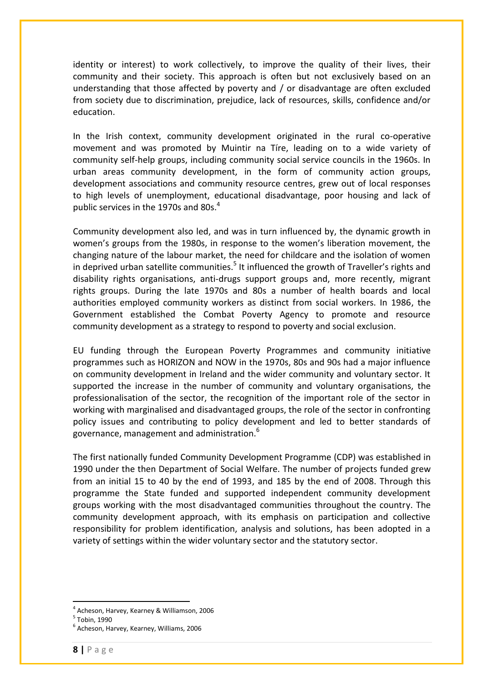identity or interest) to work collectively, to improve the quality of their lives, their community and their society. This approach is often but not exclusively based on an understanding that those affected by poverty and / or disadvantage are often excluded from society due to discrimination, prejudice, lack of resources, skills, confidence and/or education.

In the Irish context, community development originated in the rural co-operative movement and was promoted by Muintir na Tíre, leading on to a wide variety of community self-help groups, including community social service councils in the 1960s. In urban areas community development, in the form of community action groups, development associations and community resource centres, grew out of local responses to high levels of unemployment, educational disadvantage, poor housing and lack of public services in the 1970s and 80s.<sup>4</sup>

Community development also led, and was in turn influenced by, the dynamic growth in women's groups from the 1980s, in response to the women's liberation movement, the changing nature of the labour market, the need for childcare and the isolation of women in deprived urban satellite communities.<sup>5</sup> It influenced the growth of Traveller's rights and disability rights organisations, anti-drugs support groups and, more recently, migrant rights groups. During the late 1970s and 80s a number of health boards and local authorities employed community workers as distinct from social workers. In 1986, the Government established the Combat Poverty Agency to promote and resource community development as a strategy to respond to poverty and social exclusion.

EU funding through the European Poverty Programmes and community initiative programmes such as HORIZON and NOW in the 1970s, 80s and 90s had a major influence on community development in Ireland and the wider community and voluntary sector. It supported the increase in the number of community and voluntary organisations, the professionalisation of the sector, the recognition of the important role of the sector in working with marginalised and disadvantaged groups, the role of the sector in confronting policy issues and contributing to policy development and led to better standards of governance, management and administration.<sup>6</sup>

The first nationally funded Community Development Programme (CDP) was established in 1990 under the then Department of Social Welfare. The number of projects funded grew from an initial 15 to 40 by the end of 1993, and 185 by the end of 2008. Through this programme the State funded and supported independent community development groups working with the most disadvantaged communities throughout the country. The community development approach, with its emphasis on participation and collective responsibility for problem identification, analysis and solutions, has been adopted in a variety of settings within the wider voluntary sector and the statutory sector.

<u>.</u>

<sup>4</sup> Acheson, Harvey, Kearney & Williamson, 2006

<sup>5</sup> Tobin, 1990

<sup>6</sup> Acheson, Harvey, Kearney, Williams, 2006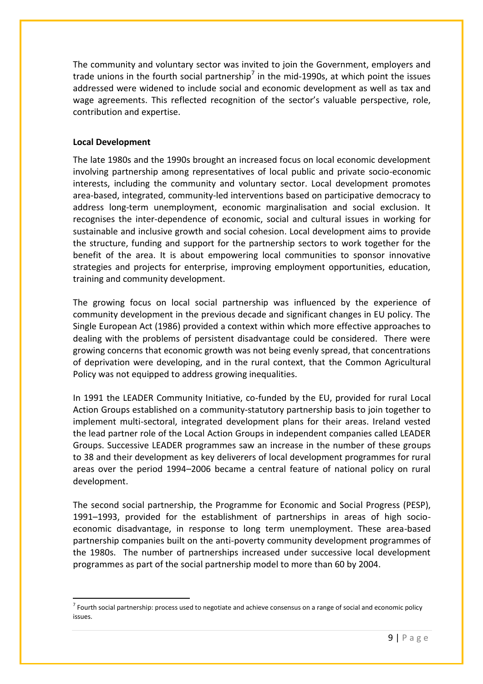The community and voluntary sector was invited to join the Government, employers and trade unions in the fourth social partnership<sup>7</sup> in the mid-1990s, at which point the issues addressed were widened to include social and economic development as well as tax and wage agreements. This reflected recognition of the sector's valuable perspective, role, contribution and expertise.

### **Local Development**

The late 1980s and the 1990s brought an increased focus on local economic development involving partnership among representatives of local public and private socio-economic interests, including the community and voluntary sector. Local development promotes area-based, integrated, community-led interventions based on participative democracy to address long-term unemployment, economic marginalisation and social exclusion. It recognises the inter-dependence of economic, social and cultural issues in working for sustainable and inclusive growth and social cohesion. Local development aims to provide the structure, funding and support for the partnership sectors to work together for the benefit of the area. It is about empowering local communities to sponsor innovative strategies and projects for enterprise, improving employment opportunities, education, training and community development.

The growing focus on local social partnership was influenced by the experience of community development in the previous decade and significant changes in EU policy. The Single European Act (1986) provided a context within which more effective approaches to dealing with the problems of persistent disadvantage could be considered. There were growing concerns that economic growth was not being evenly spread, that concentrations of deprivation were developing, and in the rural context, that the Common Agricultural Policy was not equipped to address growing inequalities.

In 1991 the LEADER Community Initiative, co-funded by the EU, provided for rural Local Action Groups established on a community-statutory partnership basis to join together to implement multi-sectoral, integrated development plans for their areas. Ireland vested the lead partner role of the Local Action Groups in independent companies called LEADER Groups. Successive LEADER programmes saw an increase in the number of these groups to 38 and their development as key deliverers of local development programmes for rural areas over the period 1994–2006 became a central feature of national policy on rural development.

The second social partnership, the Programme for Economic and Social Progress (PESP), 1991–1993, provided for the establishment of partnerships in areas of high socioeconomic disadvantage, in response to long term unemployment. These area-based partnership companies built on the anti-poverty community development programmes of the 1980s. The number of partnerships increased under successive local development programmes as part of the social partnership model to more than 60 by 2004.

<sup>&</sup>lt;u>.</u>  $^7$  Fourth social partnership: process used to negotiate and achieve consensus on a range of social and economic policy issues.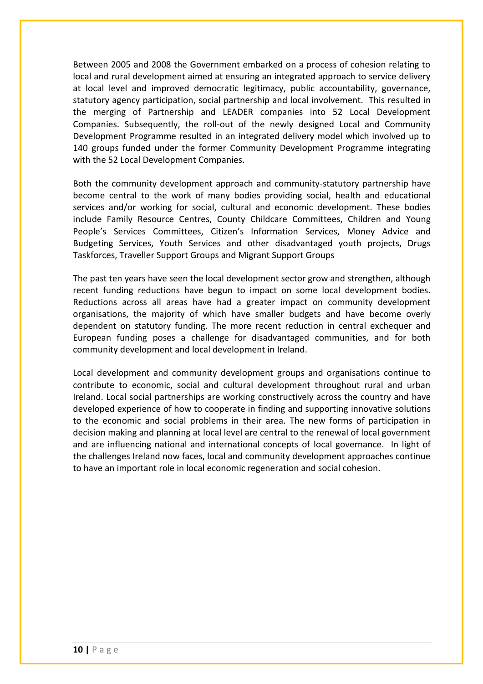Between 2005 and 2008 the Government embarked on a process of cohesion relating to local and rural development aimed at ensuring an integrated approach to service delivery at local level and improved democratic legitimacy, public accountability, governance, statutory agency participation, social partnership and local involvement. This resulted in the merging of Partnership and LEADER companies into 52 Local Development Companies. Subsequently, the roll-out of the newly designed Local and Community Development Programme resulted in an integrated delivery model which involved up to 140 groups funded under the former Community Development Programme integrating with the 52 Local Development Companies.

Both the community development approach and community-statutory partnership have become central to the work of many bodies providing social, health and educational services and/or working for social, cultural and economic development. These bodies include Family Resource Centres, County Childcare Committees, Children and Young People's Services Committees, Citizen's Information Services, Money Advice and Budgeting Services, Youth Services and other disadvantaged youth projects, Drugs Taskforces, Traveller Support Groups and Migrant Support Groups

The past ten years have seen the local development sector grow and strengthen, although recent funding reductions have begun to impact on some local development bodies. Reductions across all areas have had a greater impact on community development organisations, the majority of which have smaller budgets and have become overly dependent on statutory funding. The more recent reduction in central exchequer and European funding poses a challenge for disadvantaged communities, and for both community development and local development in Ireland.

Local development and community development groups and organisations continue to contribute to economic, social and cultural development throughout rural and urban Ireland. Local social partnerships are working constructively across the country and have developed experience of how to cooperate in finding and supporting innovative solutions to the economic and social problems in their area. The new forms of participation in decision making and planning at local level are central to the renewal of local government and are influencing national and international concepts of local governance. In light of the challenges Ireland now faces, local and community development approaches continue to have an important role in local economic regeneration and social cohesion.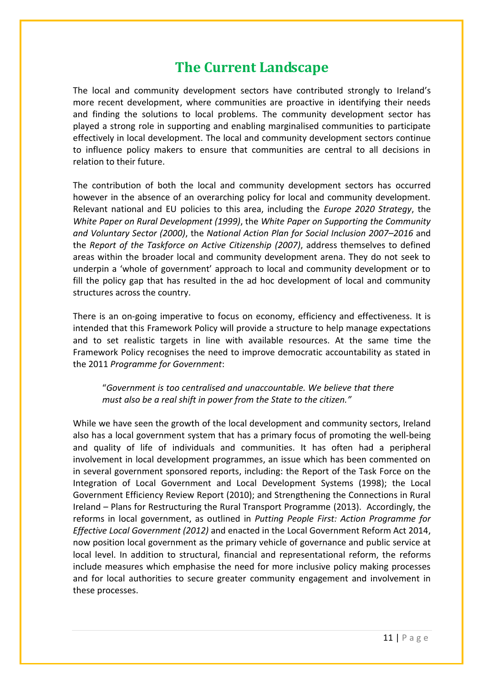# **The Current Landscape**

<span id="page-10-0"></span>The local and community development sectors have contributed strongly to Ireland's more recent development, where communities are proactive in identifying their needs and finding the solutions to local problems. The community development sector has played a strong role in supporting and enabling marginalised communities to participate effectively in local development. The local and community development sectors continue to influence policy makers to ensure that communities are central to all decisions in relation to their future.

The contribution of both the local and community development sectors has occurred however in the absence of an overarching policy for local and community development. Relevant national and EU policies to this area, including the *Europe 2020 Strategy*, the *White Paper on Rural Development (1999)*, the *White Paper on Supporting the Community and Voluntary Sector (2000)*, the *National Action Plan for Social Inclusion 2007*–*2016* and the *Report of the Taskforce on Active Citizenship (2007)*, address themselves to defined areas within the broader local and community development arena. They do not seek to underpin a 'whole of government' approach to local and community development or to fill the policy gap that has resulted in the ad hoc development of local and community structures across the country.

There is an on-going imperative to focus on economy, efficiency and effectiveness. It is intended that this Framework Policy will provide a structure to help manage expectations and to set realistic targets in line with available resources. At the same time the Framework Policy recognises the need to improve democratic accountability as stated in the 2011 *Programme for Government*:

"*Government is too centralised and unaccountable. We believe that there must also be a real shift in power from the State to the citizen."*

While we have seen the growth of the local development and community sectors, Ireland also has a local government system that has a primary focus of promoting the well-being and quality of life of individuals and communities. It has often had a peripheral involvement in local development programmes, an issue which has been commented on in several government sponsored reports, including: the Report of the Task Force on the Integration of Local Government and Local Development Systems (1998); the Local Government Efficiency Review Report (2010); and Strengthening the Connections in Rural Ireland – Plans for Restructuring the Rural Transport Programme (2013). Accordingly, the reforms in local government, as outlined in *Putting People First: Action Programme for Effective Local Government (2012)* and enacted in the Local Government Reform Act 2014, now position local government as the primary vehicle of governance and public service at local level. In addition to structural, financial and representational reform, the reforms include measures which emphasise the need for more inclusive policy making processes and for local authorities to secure greater community engagement and involvement in these processes.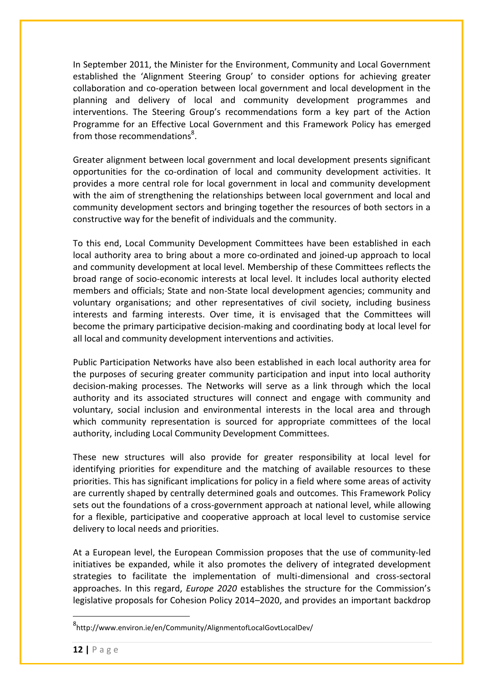In September 2011, the Minister for the Environment, Community and Local Government established the 'Alignment Steering Group' to consider options for achieving greater collaboration and co-operation between local government and local development in the planning and delivery of local and community development programmes and interventions. The Steering Group's recommendations form a key part of the Action Programme for an Effective Local Government and this Framework Policy has emerged from those recommendations<sup>8</sup>.

Greater alignment between local government and local development presents significant opportunities for the co-ordination of local and community development activities. It provides a more central role for local government in local and community development with the aim of strengthening the relationships between local government and local and community development sectors and bringing together the resources of both sectors in a constructive way for the benefit of individuals and the community.

To this end, Local Community Development Committees have been established in each local authority area to bring about a more co-ordinated and joined-up approach to local and community development at local level. Membership of these Committees reflects the broad range of socio-economic interests at local level. It includes local authority elected members and officials; State and non-State local development agencies; community and voluntary organisations; and other representatives of civil society, including business interests and farming interests. Over time, it is envisaged that the Committees will become the primary participative decision-making and coordinating body at local level for all local and community development interventions and activities.

Public Participation Networks have also been established in each local authority area for the purposes of securing greater community participation and input into local authority decision-making processes. The Networks will serve as a link through which the local authority and its associated structures will connect and engage with community and voluntary, social inclusion and environmental interests in the local area and through which community representation is sourced for appropriate committees of the local authority, including Local Community Development Committees.

These new structures will also provide for greater responsibility at local level for identifying priorities for expenditure and the matching of available resources to these priorities. This has significant implications for policy in a field where some areas of activity are currently shaped by centrally determined goals and outcomes. This Framework Policy sets out the foundations of a cross-government approach at national level, while allowing for a flexible, participative and cooperative approach at local level to customise service delivery to local needs and priorities.

At a European level, the European Commission proposes that the use of community-led initiatives be expanded, while it also promotes the delivery of integrated development strategies to facilitate the implementation of multi-dimensional and cross-sectoral approaches. In this regard, *Europe 2020* establishes the structure for the Commission's legislative proposals for Cohesion Policy 2014–2020, and provides an important backdrop

<u>.</u>

<sup>8</sup> http://www.environ.ie/en/Community/AlignmentofLocalGovtLocalDev/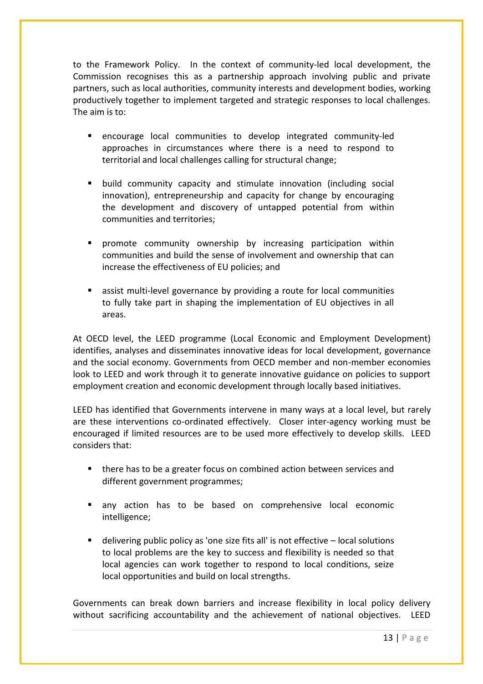to the Framework Policy. In the context of community-led local development, the Commission recognises this as a partnership approach involving public and private partners, such as local authorities, community interests and development bodies, working productively together to implement targeted and strategic responses to local challenges. The aim is to:

- encourage local communities to develop integrated community-led approaches in circumstances where there is a need to respond to territorial and local challenges calling for structural change;
- build community capacity and stimulate innovation (including social innovation), entrepreneurship and capacity for change by encouraging the development and discovery of untapped potential from within communities and territories;
- promote community ownership by increasing participation within communities and build the sense of involvement and ownership that can increase the effectiveness of EU policies; and
- assist multi-level governance by providing a route for local communities to fully take part in shaping the implementation of EU objectives in all areas.

At OECD level, the LEED programme (Local Economic and Employment Development) identifies, analyses and disseminates innovative ideas for local development, governance and the social economy. Governments from OECD member and non-member economies look to LEED and work through it to generate innovative guidance on policies to support employment creation and economic development through locally based initiatives.

LEED has identified that Governments intervene in many ways at a local level, but rarely are these interventions co-ordinated effectively. Closer inter-agency working must be encouraged if limited resources are to be used more effectively to develop skills. LEED considers that:

- there has to be a greater focus on combined action between services and different government programmes;
- any action has to be based on comprehensive local economic intelligence;
- delivering public policy as 'one size fits all' is not effective local solutions to local problems are the key to success and flexibility is needed so that local agencies can work together to respond to local conditions, seize local opportunities and build on local strengths.

Governments can break down barriers and increase flexibility in local policy delivery without sacrificing accountability and the achievement of national objectives. LEED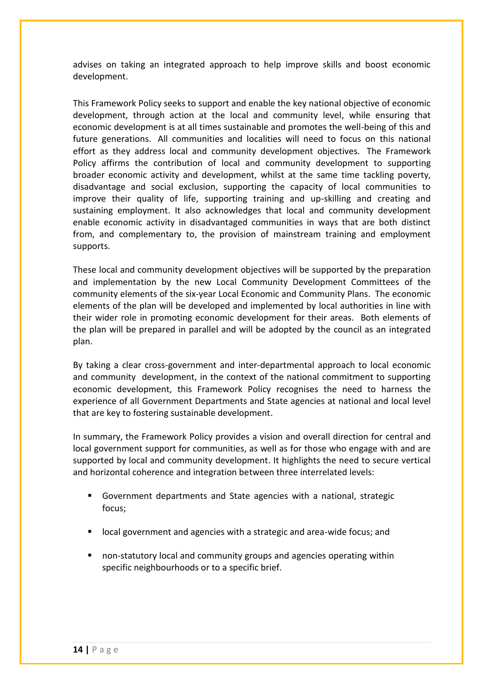advises on taking an integrated approach to help improve skills and boost economic development.

This Framework Policy seeks to support and enable the key national objective of economic development, through action at the local and community level, while ensuring that economic development is at all times sustainable and promotes the well-being of this and future generations. All communities and localities will need to focus on this national effort as they address local and community development objectives. The Framework Policy affirms the contribution of local and community development to supporting broader economic activity and development, whilst at the same time tackling poverty, disadvantage and social exclusion, supporting the capacity of local communities to improve their quality of life, supporting training and up-skilling and creating and sustaining employment. It also acknowledges that local and community development enable economic activity in disadvantaged communities in ways that are both distinct from, and complementary to, the provision of mainstream training and employment supports.

These local and community development objectives will be supported by the preparation and implementation by the new Local Community Development Committees of the community elements of the six-year Local Economic and Community Plans. The economic elements of the plan will be developed and implemented by local authorities in line with their wider role in promoting economic development for their areas. Both elements of the plan will be prepared in parallel and will be adopted by the council as an integrated plan.

By taking a clear cross-government and inter-departmental approach to local economic and community development, in the context of the national commitment to supporting economic development, this Framework Policy recognises the need to harness the experience of all Government Departments and State agencies at national and local level that are key to fostering sustainable development.

In summary, the Framework Policy provides a vision and overall direction for central and local government support for communities, as well as for those who engage with and are supported by local and community development. It highlights the need to secure vertical and horizontal coherence and integration between three interrelated levels:

- Government departments and State agencies with a national, strategic focus;
- local government and agencies with a strategic and area-wide focus; and
- non-statutory local and community groups and agencies operating within specific neighbourhoods or to a specific brief.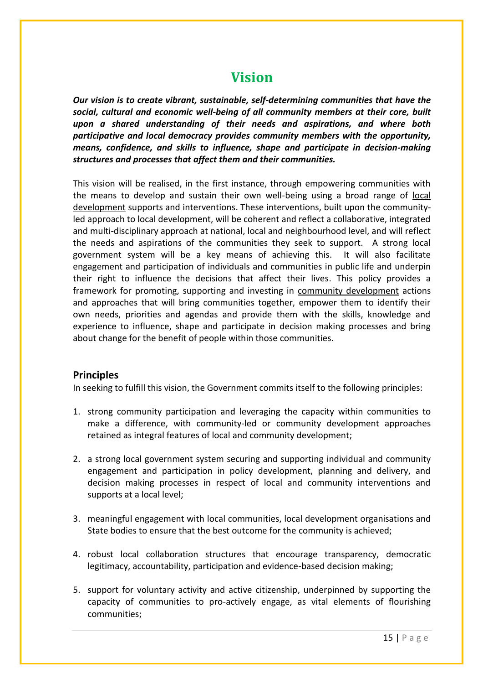# **Vision**

<span id="page-14-0"></span>*Our vision is to create vibrant, sustainable, self-determining communities that have the social, cultural and economic well-being of all community members at their core, built upon a shared understanding of their needs and aspirations, and where both participative and local democracy provides community members with the opportunity, means, confidence, and skills to influence, shape and participate in decision-making structures and processes that affect them and their communities.*

This vision will be realised, in the first instance, through empowering communities with the means to develop and sustain their own well-being using a broad range of local development supports and interventions. These interventions, built upon the communityled approach to local development, will be coherent and reflect a collaborative, integrated and multi-disciplinary approach at national, local and neighbourhood level, and will reflect the needs and aspirations of the communities they seek to support. A strong local government system will be a key means of achieving this. It will also facilitate engagement and participation of individuals and communities in public life and underpin their right to influence the decisions that affect their lives. This policy provides a framework for promoting, supporting and investing in community development actions and approaches that will bring communities together, empower them to identify their own needs, priorities and agendas and provide them with the skills, knowledge and experience to influence, shape and participate in decision making processes and bring about change for the benefit of people within those communities.

### **Principles**

In seeking to fulfill this vision, the Government commits itself to the following principles:

- 1. strong community participation and leveraging the capacity within communities to make a difference, with community-led or community development approaches retained as integral features of local and community development;
- 2. a strong local government system securing and supporting individual and community engagement and participation in policy development, planning and delivery, and decision making processes in respect of local and community interventions and supports at a local level;
- 3. meaningful engagement with local communities, local development organisations and State bodies to ensure that the best outcome for the community is achieved;
- 4. robust local collaboration structures that encourage transparency, democratic legitimacy, accountability, participation and evidence-based decision making;
- 5. support for voluntary activity and active citizenship, underpinned by supporting the capacity of communities to pro-actively engage, as vital elements of flourishing communities;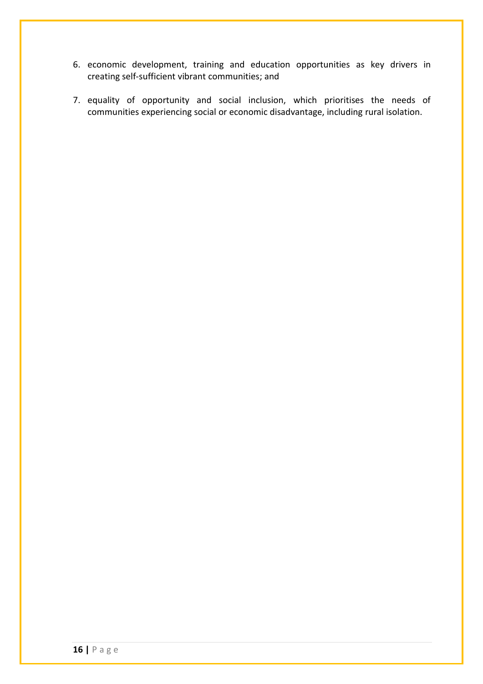- 6. economic development, training and education opportunities as key drivers in creating self-sufficient vibrant communities; and
- 7. equality of opportunity and social inclusion, which prioritises the needs of communities experiencing social or economic disadvantage, including rural isolation.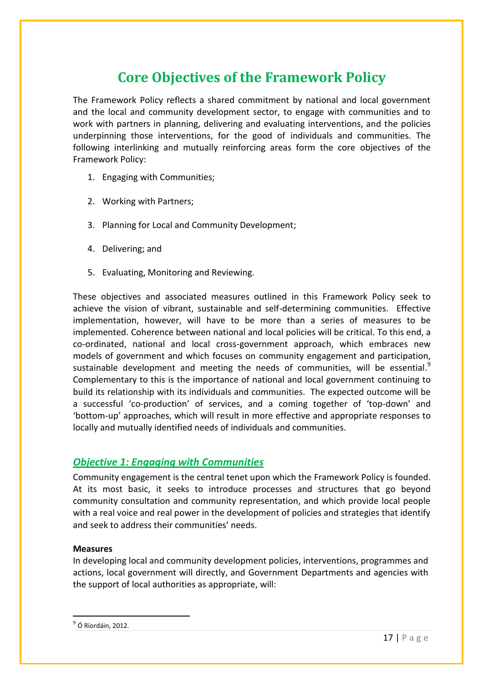# **Core Objectives of the Framework Policy**

<span id="page-16-0"></span>The Framework Policy reflects a shared commitment by national and local government and the local and community development sector, to engage with communities and to work with partners in planning, delivering and evaluating interventions, and the policies underpinning those interventions, for the good of individuals and communities. The following interlinking and mutually reinforcing areas form the core objectives of the Framework Policy:

- 1. Engaging with Communities;
- 2. Working with Partners;
- 3. Planning for Local and Community Development;
- 4. Delivering; and
- 5. Evaluating, Monitoring and Reviewing.

These objectives and associated measures outlined in this Framework Policy seek to achieve the vision of vibrant, sustainable and self-determining communities. Effective implementation, however, will have to be more than a series of measures to be implemented. Coherence between national and local policies will be critical. To this end, a co-ordinated, national and local cross-government approach, which embraces new models of government and which focuses on community engagement and participation, sustainable development and meeting the needs of communities, will be essential. $^{9}$ Complementary to this is the importance of national and local government continuing to build its relationship with its individuals and communities. The expected outcome will be a successful 'co-production' of services, and a coming together of 'top-down' and 'bottom-up' approaches, which will result in more effective and appropriate responses to locally and mutually identified needs of individuals and communities.

### <span id="page-16-1"></span>*Objective 1: Engaging with Communities*

Community engagement is the central tenet upon which the Framework Policy is founded. At its most basic, it seeks to introduce processes and structures that go beyond community consultation and community representation, and which provide local people with a real voice and real power in the development of policies and strategies that identify and seek to address their communities' needs.

### **Measures**

In developing local and community development policies, interventions, programmes and actions, local government will directly, and Government Departments and agencies with the support of local authorities as appropriate, will:

<u>.</u>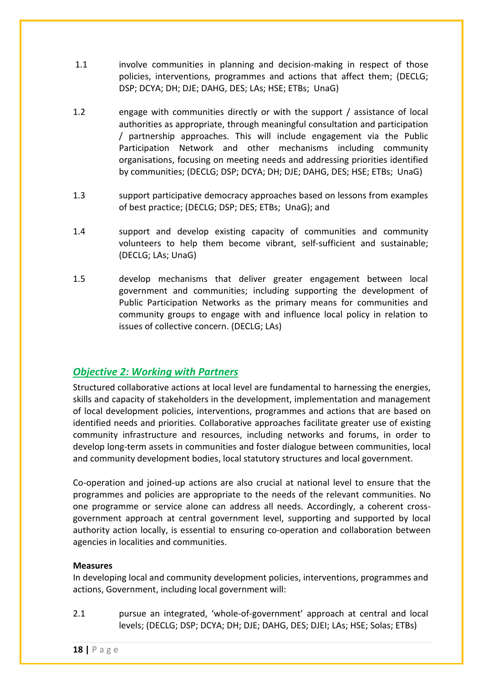- 1.1 involve communities in planning and decision-making in respect of those policies, interventions, programmes and actions that affect them; (DECLG; DSP; DCYA; DH; DJE; DAHG, DES; LAs; HSE; ETBs; UnaG)
- 1.2 engage with communities directly or with the support / assistance of local authorities as appropriate, through meaningful consultation and participation / partnership approaches. This will include engagement via the Public Participation Network and other mechanisms including community organisations, focusing on meeting needs and addressing priorities identified by communities; (DECLG; DSP; DCYA; DH; DJE; DAHG, DES; HSE; ETBs; UnaG)
- 1.3 support participative democracy approaches based on lessons from examples of best practice; (DECLG; DSP; DES; ETBs; UnaG); and
- 1.4 support and develop existing capacity of communities and community volunteers to help them become vibrant, self-sufficient and sustainable; (DECLG; LAs; UnaG)
- 1.5 develop mechanisms that deliver greater engagement between local government and communities; including supporting the development of Public Participation Networks as the primary means for communities and community groups to engage with and influence local policy in relation to issues of collective concern. (DECLG; LAs)

## <span id="page-17-0"></span>*Objective 2: Working with Partners*

Structured collaborative actions at local level are fundamental to harnessing the energies, skills and capacity of stakeholders in the development, implementation and management of local development policies, interventions, programmes and actions that are based on identified needs and priorities. Collaborative approaches facilitate greater use of existing community infrastructure and resources, including networks and forums, in order to develop long-term assets in communities and foster dialogue between communities, local and community development bodies, local statutory structures and local government.

Co-operation and joined-up actions are also crucial at national level to ensure that the programmes and policies are appropriate to the needs of the relevant communities. No one programme or service alone can address all needs. Accordingly, a coherent crossgovernment approach at central government level, supporting and supported by local authority action locally, is essential to ensuring co-operation and collaboration between agencies in localities and communities.

### **Measures**

In developing local and community development policies, interventions, programmes and actions, Government, including local government will:

2.1 pursue an integrated, 'whole-of-government' approach at central and local levels; (DECLG; DSP; DCYA; DH; DJE; DAHG, DES; DJEI; LAs; HSE; Solas; ETBs)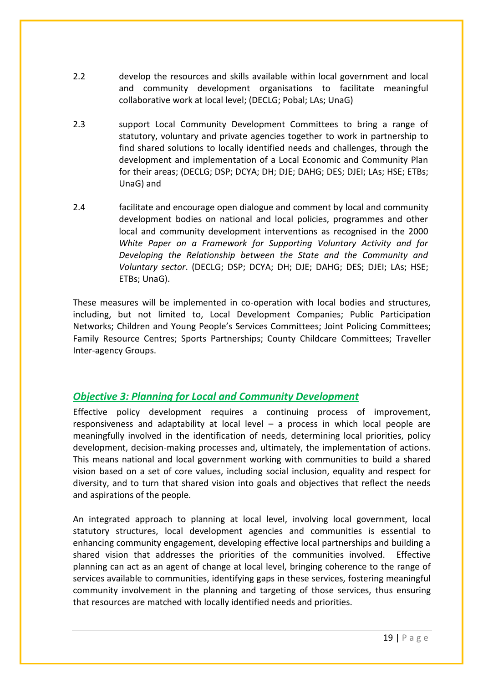- 2.2 develop the resources and skills available within local government and local and community development organisations to facilitate meaningful collaborative work at local level; (DECLG; Pobal; LAs; UnaG)
- 2.3 support Local Community Development Committees to bring a range of statutory, voluntary and private agencies together to work in partnership to find shared solutions to locally identified needs and challenges, through the development and implementation of a Local Economic and Community Plan for their areas; (DECLG; DSP; DCYA; DH; DJE; DAHG; DES; DJEI; LAs; HSE; ETBs; UnaG) and
- 2.4 facilitate and encourage open dialogue and comment by local and community development bodies on national and local policies, programmes and other local and community development interventions as recognised in the 2000 *White Paper on a Framework for Supporting Voluntary Activity and for Developing the Relationship between the State and the Community and Voluntary sector*. (DECLG; DSP; DCYA; DH; DJE; DAHG; DES; DJEI; LAs; HSE; ETBs; UnaG).

These measures will be implemented in co-operation with local bodies and structures, including, but not limited to, Local Development Companies; Public Participation Networks; Children and Young People's Services Committees; Joint Policing Committees; Family Resource Centres; Sports Partnerships; County Childcare Committees; Traveller Inter-agency Groups.

## <span id="page-18-0"></span>*Objective 3: Planning for Local and Community Development*

Effective policy development requires a continuing process of improvement, responsiveness and adaptability at local level – a process in which local people are meaningfully involved in the identification of needs, determining local priorities, policy development, decision-making processes and, ultimately, the implementation of actions. This means national and local government working with communities to build a shared vision based on a set of core values, including social inclusion, equality and respect for diversity, and to turn that shared vision into goals and objectives that reflect the needs and aspirations of the people.

An integrated approach to planning at local level, involving local government, local statutory structures, local development agencies and communities is essential to enhancing community engagement, developing effective local partnerships and building a shared vision that addresses the priorities of the communities involved. Effective planning can act as an agent of change at local level, bringing coherence to the range of services available to communities, identifying gaps in these services, fostering meaningful community involvement in the planning and targeting of those services, thus ensuring that resources are matched with locally identified needs and priorities.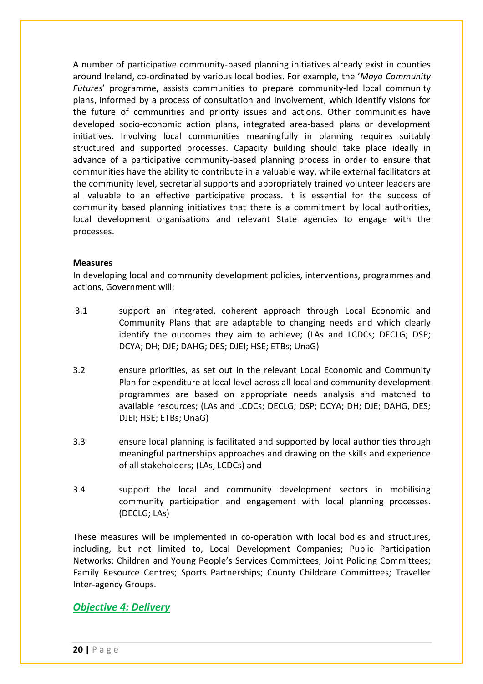A number of participative community-based planning initiatives already exist in counties around Ireland, co-ordinated by various local bodies. For example, the '*Mayo Community Futures*' programme, assists communities to prepare community-led local community plans, informed by a process of consultation and involvement, which identify visions for the future of communities and priority issues and actions. Other communities have developed socio-economic action plans, integrated area-based plans or development initiatives. Involving local communities meaningfully in planning requires suitably structured and supported processes. Capacity building should take place ideally in advance of a participative community-based planning process in order to ensure that communities have the ability to contribute in a valuable way, while external facilitators at the community level, secretarial supports and appropriately trained volunteer leaders are all valuable to an effective participative process. It is essential for the success of community based planning initiatives that there is a commitment by local authorities, local development organisations and relevant State agencies to engage with the processes.

#### **Measures**

In developing local and community development policies, interventions, programmes and actions, Government will:

- 3.1 support an integrated, coherent approach through Local Economic and Community Plans that are adaptable to changing needs and which clearly identify the outcomes they aim to achieve; (LAs and LCDCs; DECLG; DSP; DCYA; DH; DJE; DAHG; DES; DJEI; HSE; ETBs; UnaG)
- 3.2 ensure priorities, as set out in the relevant Local Economic and Community Plan for expenditure at local level across all local and community development programmes are based on appropriate needs analysis and matched to available resources; (LAs and LCDCs; DECLG; DSP; DCYA; DH; DJE; DAHG, DES; DJEI; HSE; ETBs; UnaG)
- 3.3 ensure local planning is facilitated and supported by local authorities through meaningful partnerships approaches and drawing on the skills and experience of all stakeholders; (LAs; LCDCs) and
- 3.4 support the local and community development sectors in mobilising community participation and engagement with local planning processes. (DECLG; LAs)

These measures will be implemented in co-operation with local bodies and structures, including, but not limited to, Local Development Companies; Public Participation Networks; Children and Young People's Services Committees; Joint Policing Committees; Family Resource Centres; Sports Partnerships; County Childcare Committees; Traveller Inter-agency Groups.

### <span id="page-19-0"></span>*Objective 4: Delivery*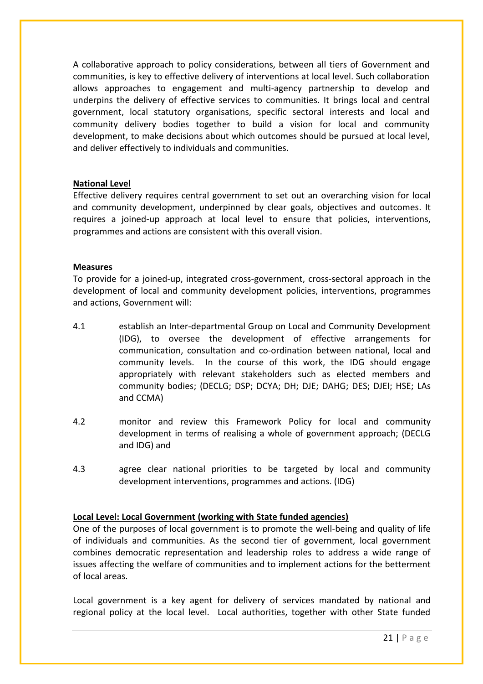A collaborative approach to policy considerations, between all tiers of Government and communities, is key to effective delivery of interventions at local level. Such collaboration allows approaches to engagement and multi-agency partnership to develop and underpins the delivery of effective services to communities. It brings local and central government, local statutory organisations, specific sectoral interests and local and community delivery bodies together to build a vision for local and community development, to make decisions about which outcomes should be pursued at local level, and deliver effectively to individuals and communities.

### **National Level**

Effective delivery requires central government to set out an overarching vision for local and community development, underpinned by clear goals, objectives and outcomes. It requires a joined-up approach at local level to ensure that policies, interventions, programmes and actions are consistent with this overall vision.

#### **Measures**

To provide for a joined-up, integrated cross-government, cross-sectoral approach in the development of local and community development policies, interventions, programmes and actions, Government will:

- 4.1 establish an Inter-departmental Group on Local and Community Development (IDG), to oversee the development of effective arrangements for communication, consultation and co-ordination between national, local and community levels. In the course of this work, the IDG should engage appropriately with relevant stakeholders such as elected members and community bodies; (DECLG; DSP; DCYA; DH; DJE; DAHG; DES; DJEI; HSE; LAs and CCMA)
- 4.2 monitor and review this Framework Policy for local and community development in terms of realising a whole of government approach; (DECLG and IDG) and
- 4.3 agree clear national priorities to be targeted by local and community development interventions, programmes and actions. (IDG)

### **Local Level: Local Government (working with State funded agencies)**

One of the purposes of local government is to promote the well-being and quality of life of individuals and communities. As the second tier of government, local government combines democratic representation and leadership roles to address a wide range of issues affecting the welfare of communities and to implement actions for the betterment of local areas.

Local government is a key agent for delivery of services mandated by national and regional policy at the local level. Local authorities, together with other State funded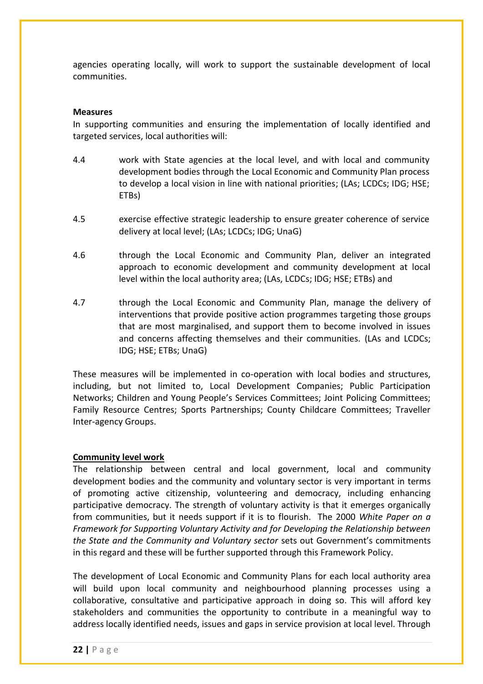agencies operating locally, will work to support the sustainable development of local communities.

#### **Measures**

In supporting communities and ensuring the implementation of locally identified and targeted services, local authorities will:

- 4.4 work with State agencies at the local level, and with local and community development bodies through the Local Economic and Community Plan process to develop a local vision in line with national priorities; (LAs; LCDCs; IDG; HSE; ETBs)
- 4.5 exercise effective strategic leadership to ensure greater coherence of service delivery at local level; (LAs; LCDCs; IDG; UnaG)
- 4.6 through the Local Economic and Community Plan, deliver an integrated approach to economic development and community development at local level within the local authority area; (LAs, LCDCs; IDG; HSE; ETBs) and
- 4.7 through the Local Economic and Community Plan, manage the delivery of interventions that provide positive action programmes targeting those groups that are most marginalised, and support them to become involved in issues and concerns affecting themselves and their communities. (LAs and LCDCs; IDG; HSE; ETBs; UnaG)

These measures will be implemented in co-operation with local bodies and structures, including, but not limited to, Local Development Companies; Public Participation Networks; Children and Young People's Services Committees; Joint Policing Committees; Family Resource Centres; Sports Partnerships; County Childcare Committees; Traveller Inter-agency Groups.

### **Community level work**

The relationship between central and local government, local and community development bodies and the community and voluntary sector is very important in terms of promoting active citizenship, volunteering and democracy, including enhancing participative democracy. The strength of voluntary activity is that it emerges organically from communities, but it needs support if it is to flourish. The 2000 *White Paper on a Framework for Supporting Voluntary Activity and for Developing the Relationship between the State and the Community and Voluntary sector* sets out Government's commitments in this regard and these will be further supported through this Framework Policy.

The development of Local Economic and Community Plans for each local authority area will build upon local community and neighbourhood planning processes using a collaborative, consultative and participative approach in doing so. This will afford key stakeholders and communities the opportunity to contribute in a meaningful way to address locally identified needs, issues and gaps in service provision at local level. Through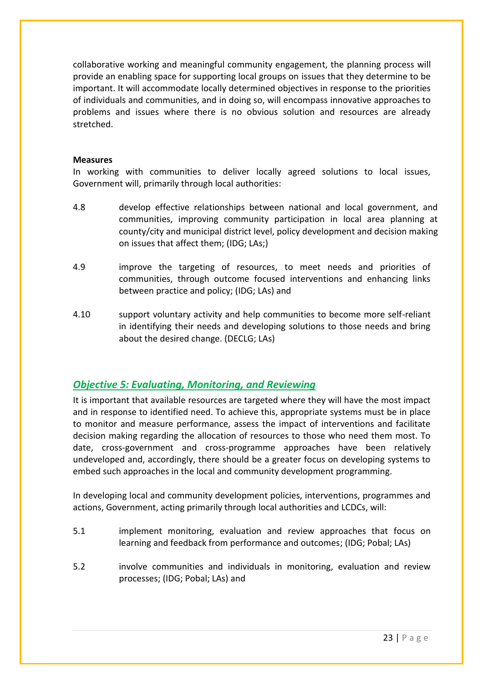collaborative working and meaningful community engagement, the planning process will provide an enabling space for supporting local groups on issues that they determine to be important. It will accommodate locally determined objectives in response to the priorities of individuals and communities, and in doing so, will encompass innovative approaches to problems and issues where there is no obvious solution and resources are already stretched.

#### **Measures**

In working with communities to deliver locally agreed solutions to local issues, Government will, primarily through local authorities:

- 4.8 develop effective relationships between national and local government, and communities, improving community participation in local area planning at county/city and municipal district level, policy development and decision making on issues that affect them; (IDG; LAs;)
- 4.9 improve the targeting of resources, to meet needs and priorities of communities, through outcome focused interventions and enhancing links between practice and policy; (IDG; LAs) and
- 4.10 support voluntary activity and help communities to become more self-reliant in identifying their needs and developing solutions to those needs and bring about the desired change. (DECLG; LAs)

## <span id="page-22-0"></span>*Objective 5: Evaluating, Monitoring, and Reviewing*

It is important that available resources are targeted where they will have the most impact and in response to identified need. To achieve this, appropriate systems must be in place to monitor and measure performance, assess the impact of interventions and facilitate decision making regarding the allocation of resources to those who need them most. To date, cross-government and cross-programme approaches have been relatively undeveloped and, accordingly, there should be a greater focus on developing systems to embed such approaches in the local and community development programming.

In developing local and community development policies, interventions, programmes and actions, Government, acting primarily through local authorities and LCDCs, will:

- 5.1 implement monitoring, evaluation and review approaches that focus on learning and feedback from performance and outcomes; (IDG; Pobal; LAs)
- 5.2 involve communities and individuals in monitoring, evaluation and review processes; (IDG; Pobal; LAs) and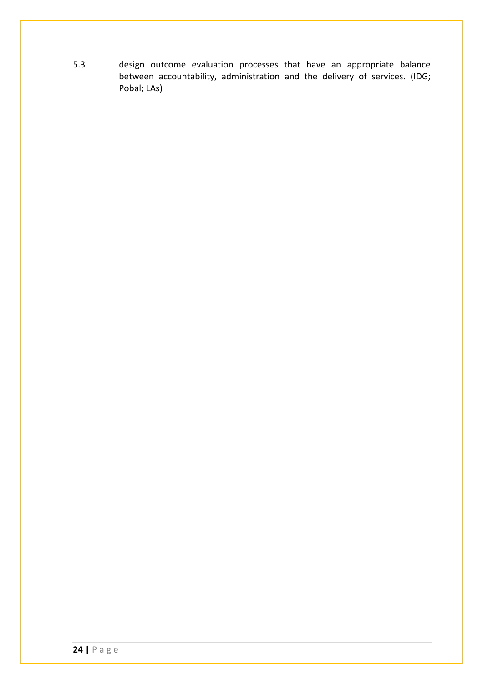5.3 design outcome evaluation processes that have an appropriate balance between accountability, administration and the delivery of services. (IDG; Pobal; LAs)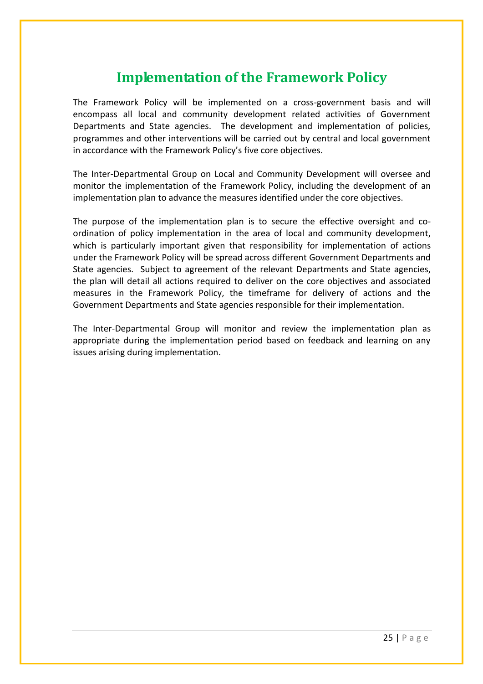# **Implementation of the Framework Policy**

<span id="page-24-0"></span>The Framework Policy will be implemented on a cross-government basis and will encompass all local and community development related activities of Government Departments and State agencies. The development and implementation of policies, programmes and other interventions will be carried out by central and local government in accordance with the Framework Policy's five core objectives.

The Inter-Departmental Group on Local and Community Development will oversee and monitor the implementation of the Framework Policy, including the development of an implementation plan to advance the measures identified under the core objectives.

The purpose of the implementation plan is to secure the effective oversight and coordination of policy implementation in the area of local and community development, which is particularly important given that responsibility for implementation of actions under the Framework Policy will be spread across different Government Departments and State agencies. Subject to agreement of the relevant Departments and State agencies, the plan will detail all actions required to deliver on the core objectives and associated measures in the Framework Policy, the timeframe for delivery of actions and the Government Departments and State agencies responsible for their implementation.

The Inter-Departmental Group will monitor and review the implementation plan as appropriate during the implementation period based on feedback and learning on any issues arising during implementation.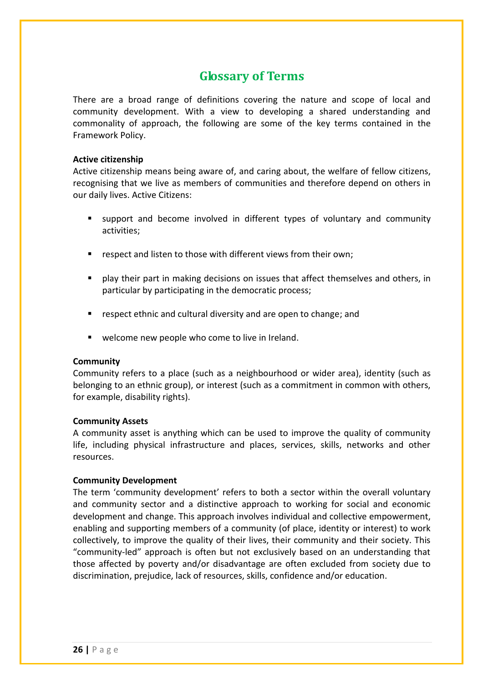## **Glossary of Terms**

<span id="page-25-0"></span>There are a broad range of definitions covering the nature and scope of local and community development. With a view to developing a shared understanding and commonality of approach, the following are some of the key terms contained in the Framework Policy.

#### **Active citizenship**

Active citizenship means being aware of, and caring about, the welfare of fellow citizens, recognising that we live as members of communities and therefore depend on others in our daily lives. Active Citizens:

- support and become involved in different types of voluntary and community activities;
- respect and listen to those with different views from their own;
- play their part in making decisions on issues that affect themselves and others, in particular by participating in the democratic process;
- respect ethnic and cultural diversity and are open to change; and
- welcome new people who come to live in Ireland.

### **Community**

Community refers to a place (such as a neighbourhood or wider area), identity (such as belonging to an ethnic group), or interest (such as a commitment in common with others, for example, disability rights).

### **Community Assets**

A community asset is anything which can be used to improve the quality of community life, including physical infrastructure and places, services, skills, networks and other resources.

### **Community Development**

The term 'community development' refers to both a sector within the overall voluntary and community sector and a distinctive approach to working for social and economic development and change. This approach involves individual and collective empowerment, enabling and supporting members of a community (of place, identity or interest) to work collectively, to improve the quality of their lives, their community and their society. This "community-led" approach is often but not exclusively based on an understanding that those affected by poverty and/or disadvantage are often excluded from society due to discrimination, prejudice, lack of resources, skills, confidence and/or education.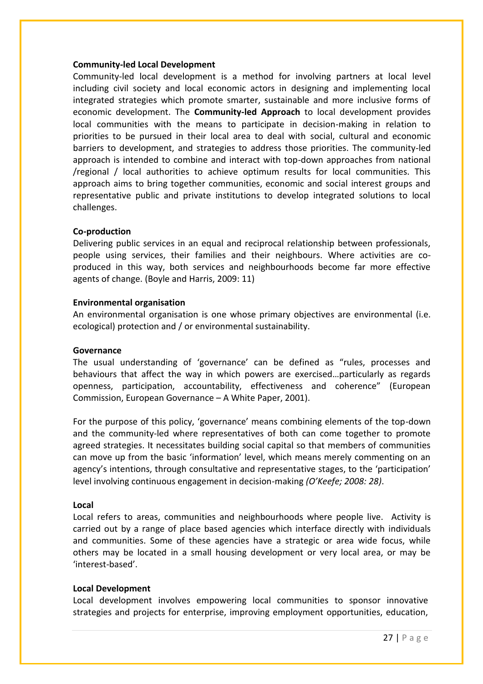#### **Community-led Local Development**

Community-led local development is a method for involving partners at local level including civil society and local economic actors in designing and implementing local integrated strategies which promote smarter, sustainable and more inclusive forms of economic development. The **Community-led Approach** to local development provides local communities with the means to participate in decision-making in relation to priorities to be pursued in their local area to deal with social, cultural and economic barriers to development, and strategies to address those priorities. The community-led approach is intended to combine and interact with top-down approaches from national /regional / local authorities to achieve optimum results for local communities. This approach aims to bring together communities, economic and social interest groups and representative public and private institutions to develop integrated solutions to local challenges.

#### **Co-production**

Delivering public services in an equal and reciprocal relationship between professionals, people using services, their families and their neighbours. Where activities are coproduced in this way, both services and neighbourhoods become far more effective agents of change. (Boyle and Harris, 2009: 11)

#### **Environmental organisation**

An environmental organisation is one whose primary objectives are environmental (i.e. ecological) protection and / or environmental sustainability.

#### **Governance**

The usual understanding of 'governance' can be defined as "rules, processes and behaviours that affect the way in which powers are exercised…particularly as regards openness, participation, accountability, effectiveness and coherence" (European Commission, European Governance – A White Paper, 2001).

For the purpose of this policy, 'governance' means combining elements of the top-down and the community-led where representatives of both can come together to promote agreed strategies. It necessitates building social capital so that members of communities can move up from the basic 'information' level, which means merely commenting on an agency's intentions, through consultative and representative stages, to the 'participation' level involving continuous engagement in decision-making *(O'Keefe; 2008: 28)*.

#### **Local**

Local refers to areas, communities and neighbourhoods where people live. Activity is carried out by a range of place based agencies which interface directly with individuals and communities. Some of these agencies have a strategic or area wide focus, while others may be located in a small housing development or very local area, or may be 'interest-based'.

#### **Local Development**

Local development involves empowering local communities to sponsor innovative strategies and projects for enterprise, improving employment opportunities, education,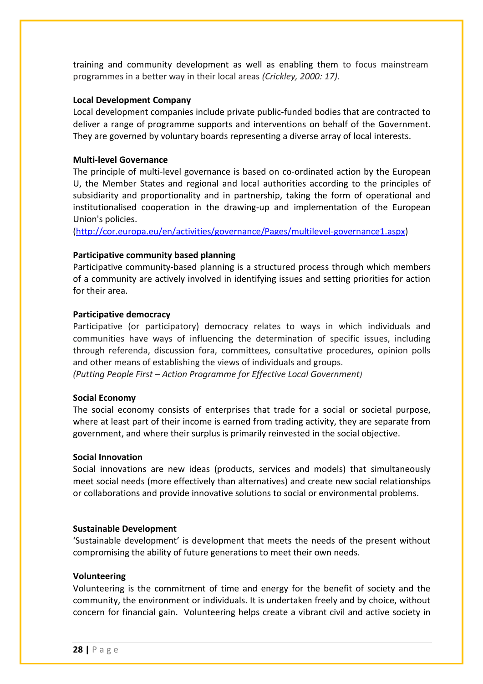training and community development as well as enabling them to focus mainstream programmes in a better way in their local areas *(Crickley, 2000: 17)*.

#### **Local Development Company**

Local development companies include private public-funded bodies that are contracted to deliver a range of programme supports and interventions on behalf of the Government. They are governed by voluntary boards representing a diverse array of local interests.

#### **Multi-level Governance**

The principle of multi-level governance is based on co-ordinated action by the European U, the Member States and regional and local authorities according to the principles of subsidiarity and proportionality and in partnership, taking the form of operational and institutionalised cooperation in the drawing-up and implementation of the European Union's policies.

[\(http://cor.europa.eu/en/activities/governance/Pages/multilevel-governance1.aspx\)](http://cor.europa.eu/en/activities/governance/Pages/multilevel-governance1.aspx)

#### **Participative community based planning**

Participative community-based planning is a structured process through which members of a community are actively involved in identifying issues and setting priorities for action for their area.

#### **Participative democracy**

Participative (or participatory) democracy relates to ways in which individuals and communities have ways of influencing the determination of specific issues, including through referenda, discussion fora, committees, consultative procedures, opinion polls and other means of establishing the views of individuals and groups.

*(Putting People First – Action Programme for Effective Local Government)*

#### **Social Economy**

The social economy consists of enterprises that trade for a social or societal purpose, where at least part of their income is earned from trading activity, they are separate from government, and where their surplus is primarily reinvested in the social objective.

#### **Social Innovation**

Social innovations are new ideas (products, services and models) that simultaneously meet social needs (more effectively than alternatives) and create new social relationships or collaborations and provide innovative solutions to social or environmental problems.

#### **Sustainable Development**

'Sustainable development' is development that meets the needs of the present without compromising the ability of future generations to meet their own needs.

#### **Volunteering**

Volunteering is the commitment of time and energy for the benefit of society and the community, the environment or individuals. It is undertaken freely and by choice, without concern for financial gain. Volunteering helps create a vibrant civil and active society in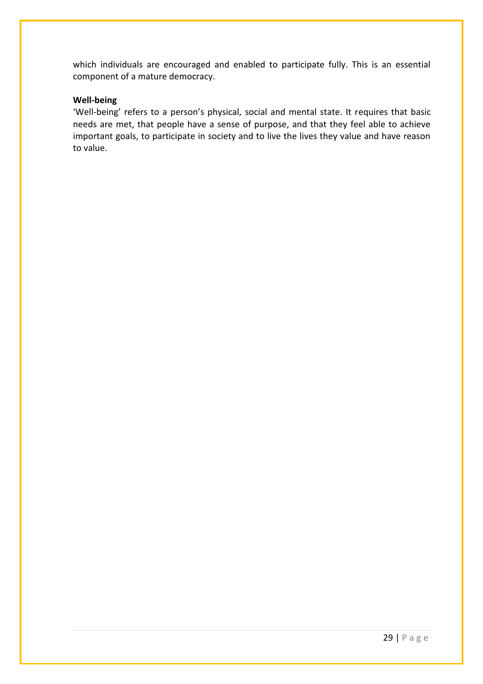which individuals are encouraged and enabled to participate fully. This is an essential component of a mature democracy.

#### **Well-being**

'Well-being' refers to a person's physical, social and mental state. It requires that basic needs are met, that people have a sense of purpose, and that they feel able to achieve important goals, to participate in society and to live the lives they value and have reason to value.